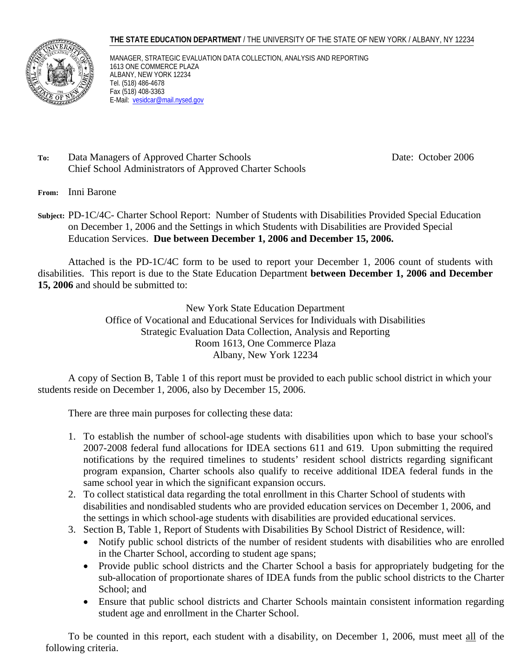#### **THE STATE EDUCATION DEPARTMENT** / THE UNIVERSITY OF THE STATE OF NEW YORK / ALBANY, NY 12234



MANAGER, STRATEGIC EVALUATION DATA COLLECTION, ANALYSIS AND REPORTING 1613 ONE COMMERCE PLAZA ALBANY, NEW YORK 12234 Tel. (518) 486-4678 Fax (518) 408-3363 E-Mail: vesidcar@mail.nysed.gov

## To: Data Managers of Approved Charter Schools Date: October 2006 Chief School Administrators of Approved Charter Schools

- **From:** Inni Barone
- **Subject:** PD-1C/4C- Charter School Report: Number of Students with Disabilities Provided Special Education on December 1, 2006 and the Settings in which Students with Disabilities are Provided Special Education Services. **Due between December 1, 2006 and December 15, 2006.**

Attached is the PD-1C/4C form to be used to report your December 1, 2006 count of students with disabilities. This report is due to the State Education Department **between December 1, 2006 and December 15, 2006** and should be submitted to:

> New York State Education Department Office of Vocational and Educational Services for Individuals with Disabilities Strategic Evaluation Data Collection, Analysis and Reporting Room 1613, One Commerce Plaza Albany, New York 12234

A copy of Section B, Table 1 of this report must be provided to each public school district in which your students reside on December 1, 2006, also by December 15, 2006.

There are three main purposes for collecting these data:

- 1. To establish the number of school-age students with disabilities upon which to base your school's 2007-2008 federal fund allocations for IDEA sections 611 and 619. Upon submitting the required notifications by the required timelines to students' resident school districts regarding significant program expansion, Charter schools also qualify to receive additional IDEA federal funds in the same school year in which the significant expansion occurs.
- 2. To collect statistical data regarding the total enrollment in this Charter School of students with disabilities and nondisabled students who are provided education services on December 1, 2006, and the settings in which school-age students with disabilities are provided educational services.
- 3. Section B, Table 1, Report of Students with Disabilities By School District of Residence, will:
	- Notify public school districts of the number of resident students with disabilities who are enrolled in the Charter School, according to student age spans;
	- Provide public school districts and the Charter School a basis for appropriately budgeting for the sub-allocation of proportionate shares of IDEA funds from the public school districts to the Charter School; and
	- Ensure that public school districts and Charter Schools maintain consistent information regarding student age and enrollment in the Charter School.

To be counted in this report, each student with a disability, on December 1, 2006, must meet all of the following criteria.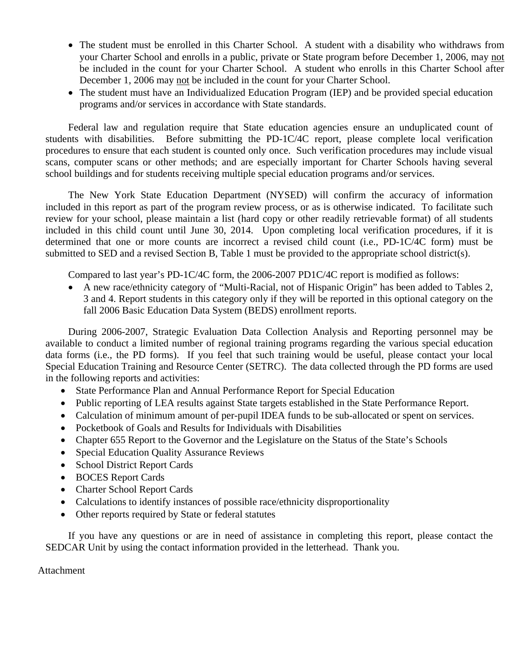- The student must be enrolled in this Charter School. A student with a disability who withdraws from your Charter School and enrolls in a public, private or State program before December 1, 2006, may not be included in the count for your Charter School. A student who enrolls in this Charter School after December 1, 2006 may not be included in the count for your Charter School.
- The student must have an Individualized Education Program (IEP) and be provided special education programs and/or services in accordance with State standards.

Federal law and regulation require that State education agencies ensure an unduplicated count of students with disabilities. Before submitting the PD-1C/4C report, please complete local verification procedures to ensure that each student is counted only once. Such verification procedures may include visual scans, computer scans or other methods; and are especially important for Charter Schools having several school buildings and for students receiving multiple special education programs and/or services.

The New York State Education Department (NYSED) will confirm the accuracy of information included in this report as part of the program review process, or as is otherwise indicated. To facilitate such review for your school, please maintain a list (hard copy or other readily retrievable format) of all students included in this child count until June 30, 2014. Upon completing local verification procedures, if it is determined that one or more counts are incorrect a revised child count (i.e., PD-1C/4C form) must be submitted to SED and a revised Section B, Table 1 must be provided to the appropriate school district(s).

Compared to last year's PD-1C/4C form, the 2006-2007 PD1C/4C report is modified as follows:

• A new race/ethnicity category of "Multi-Racial, not of Hispanic Origin" has been added to Tables 2, 3 and 4. Report students in this category only if they will be reported in this optional category on the fall 2006 Basic Education Data System (BEDS) enrollment reports.

During 2006-2007, Strategic Evaluation Data Collection Analysis and Reporting personnel may be available to conduct a limited number of regional training programs regarding the various special education data forms (i.e., the PD forms). If you feel that such training would be useful, please contact your local Special Education Training and Resource Center (SETRC). The data collected through the PD forms are used in the following reports and activities:

- State Performance Plan and Annual Performance Report for Special Education
- Public reporting of LEA results against State targets established in the State Performance Report.
- Calculation of minimum amount of per-pupil IDEA funds to be sub-allocated or spent on services.
- Pocketbook of Goals and Results for Individuals with Disabilities
- Chapter 655 Report to the Governor and the Legislature on the Status of the State's Schools
- Special Education Quality Assurance Reviews
- School District Report Cards
- BOCES Report Cards
- Charter School Report Cards
- Calculations to identify instances of possible race/ethnicity disproportionality
- Other reports required by State or federal statutes

If you have any questions or are in need of assistance in completing this report, please contact the SEDCAR Unit by using the contact information provided in the letterhead. Thank you.

Attachment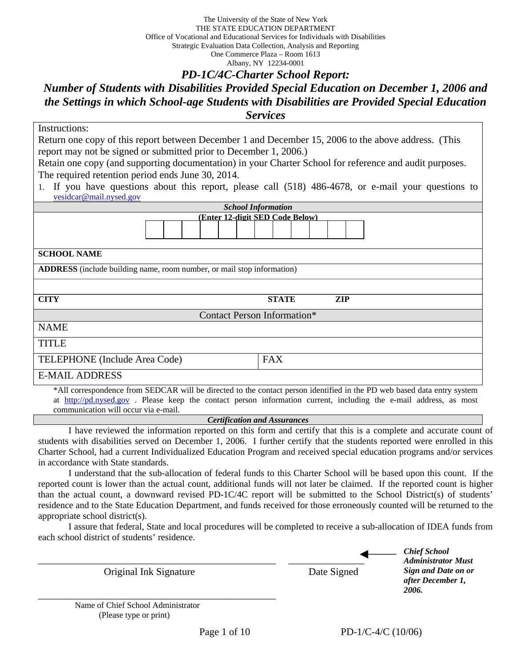The University of the State of New York THE STATE EDUCATION DEPARTMENT Office of Vocational and Educational Services for Individuals with Disabilities Strategic Evaluation Data Collection, Analysis and Reporting One Commerce Plaza – Room 1613 Albany, NY 12234-0001

## *PD-1C/4C-Charter School Report:*

# *Number of Students with Disabilities Provided Special Education on December 1, 2006 and the Settings in which School-age Students with Disabilities are Provided Special Education Services*

| Instructions:                                                                                           |                                                                                                                         |  |  |  |  |  |  |  |
|---------------------------------------------------------------------------------------------------------|-------------------------------------------------------------------------------------------------------------------------|--|--|--|--|--|--|--|
|                                                                                                         | Return one copy of this report between December 1 and December 15, 2006 to the above address. (This                     |  |  |  |  |  |  |  |
| report may not be signed or submitted prior to December 1, 2006.)                                       |                                                                                                                         |  |  |  |  |  |  |  |
| Retain one copy (and supporting documentation) in your Charter School for reference and audit purposes. |                                                                                                                         |  |  |  |  |  |  |  |
| The required retention period ends June 30, 2014.                                                       |                                                                                                                         |  |  |  |  |  |  |  |
|                                                                                                         | 1. If you have questions about this report, please call (518) 486-4678, or e-mail your questions to                     |  |  |  |  |  |  |  |
| vesidcar@mail.nysed.gov                                                                                 |                                                                                                                         |  |  |  |  |  |  |  |
|                                                                                                         | <b>School Information</b>                                                                                               |  |  |  |  |  |  |  |
|                                                                                                         | (Enter 12-digit SED Code Below)                                                                                         |  |  |  |  |  |  |  |
| <b>SCHOOL NAME</b>                                                                                      |                                                                                                                         |  |  |  |  |  |  |  |
| <b>ADDRESS</b> (include building name, room number, or mail stop information)                           |                                                                                                                         |  |  |  |  |  |  |  |
|                                                                                                         |                                                                                                                         |  |  |  |  |  |  |  |
| <b>CITY</b>                                                                                             | <b>STATE</b><br><b>ZIP</b>                                                                                              |  |  |  |  |  |  |  |
|                                                                                                         | <b>Contact Person Information*</b>                                                                                      |  |  |  |  |  |  |  |
| <b>NAME</b>                                                                                             |                                                                                                                         |  |  |  |  |  |  |  |
| <b>TITLE</b>                                                                                            |                                                                                                                         |  |  |  |  |  |  |  |
| TELEPHONE (Include Area Code)                                                                           | <b>FAX</b>                                                                                                              |  |  |  |  |  |  |  |
| <b>E-MAIL ADDRESS</b>                                                                                   |                                                                                                                         |  |  |  |  |  |  |  |
|                                                                                                         | *All correspondence from SEDCAR will be directed to the contact person identified in the PD web based data entry system |  |  |  |  |  |  |  |

at http://pd.nysed.gov . Please keep the contact person information current, including the e-mail address, as most

communication will occur via e-mail.

#### *Certification and Assurances*

I have reviewed the information reported on this form and certify that this is a complete and accurate count of students with disabilities served on December 1, 2006. I further certify that the students reported were enrolled in this Charter School, had a current Individualized Education Program and received special education programs and/or services in accordance with State standards.

I understand that the sub-allocation of federal funds to this Charter School will be based upon this count. If the reported count is lower than the actual count, additional funds will not later be claimed. If the reported count is higher than the actual count, a downward revised PD-1C/4C report will be submitted to the School District(s) of students' residence and to the State Education Department, and funds received for those erroneously counted will be returned to the appropriate school district(s).

I assure that federal, State and local procedures will be completed to receive a sub-allocation of IDEA funds from each school district of students' residence.

Original Ink Signature Date Signed

\_\_\_\_\_\_\_\_\_\_\_\_\_\_\_\_\_\_\_\_\_\_\_\_\_\_\_\_\_\_\_\_\_\_\_\_\_\_\_\_\_\_\_\_\_\_\_ \_\_\_\_\_\_\_\_\_\_\_\_\_\_\_

*Chief School Administrator Must Sign and Date on or after December 1, 2006.*

Name of Chief School Administrator (Please type or print)

Page 1 of 10 PD-1/C-4/C (10/06)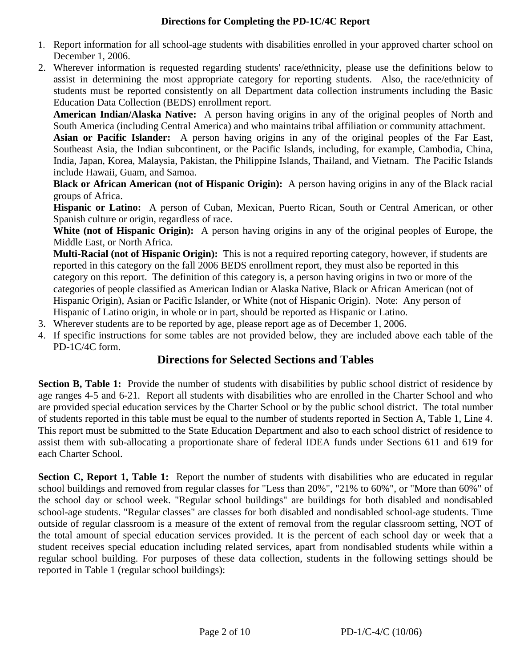#### **Directions for Completing the PD-1C/4C Report**

- 1. Report information for all school-age students with disabilities enrolled in your approved charter school on December 1, 2006.
- 2. Wherever information is requested regarding students' race/ethnicity, please use the definitions below to assist in determining the most appropriate category for reporting students. Also, the race/ethnicity of students must be reported consistently on all Department data collection instruments including the Basic Education Data Collection (BEDS) enrollment report.

**American Indian/Alaska Native:** A person having origins in any of the original peoples of North and South America (including Central America) and who maintains tribal affiliation or community attachment.

**Asian or Pacific Islander:** A person having origins in any of the original peoples of the Far East, Southeast Asia, the Indian subcontinent, or the Pacific Islands, including, for example, Cambodia, China, India, Japan, Korea, Malaysia, Pakistan, the Philippine Islands, Thailand, and Vietnam. The Pacific Islands include Hawaii, Guam, and Samoa.

**Black or African American (not of Hispanic Origin):** A person having origins in any of the Black racial groups of Africa.

**Hispanic or Latino:** A person of Cuban, Mexican, Puerto Rican, South or Central American, or other Spanish culture or origin, regardless of race.

**White (not of Hispanic Origin):** A person having origins in any of the original peoples of Europe, the Middle East, or North Africa.

**Multi-Racial (not of Hispanic Origin):** This is not a required reporting category, however, if students are reported in this category on the fall 2006 BEDS enrollment report, they must also be reported in this category on this report. The definition of this category is, a person having origins in two or more of the categories of people classified as American Indian or Alaska Native, Black or African American (not of Hispanic Origin), Asian or Pacific Islander, or White (not of Hispanic Origin). Note: Any person of Hispanic of Latino origin, in whole or in part, should be reported as Hispanic or Latino.

- 3. Wherever students are to be reported by age, please report age as of December 1, 2006.
- 4. If specific instructions for some tables are not provided below, they are included above each table of the PD-1C/4C form.

# **Directions for Selected Sections and Tables**

**Section B, Table 1:** Provide the number of students with disabilities by public school district of residence by age ranges 4-5 and 6-21. Report all students with disabilities who are enrolled in the Charter School and who are provided special education services by the Charter School or by the public school district. The total number of students reported in this table must be equal to the number of students reported in Section A, Table 1, Line 4. This report must be submitted to the State Education Department and also to each school district of residence to assist them with sub-allocating a proportionate share of federal IDEA funds under Sections 611 and 619 for each Charter School.

**Section C, Report 1, Table 1:** Report the number of students with disabilities who are educated in regular school buildings and removed from regular classes for "Less than 20%", "21% to 60%", or "More than 60%" of the school day or school week. "Regular school buildings" are buildings for both disabled and nondisabled school-age students. "Regular classes" are classes for both disabled and nondisabled school-age students. Time outside of regular classroom is a measure of the extent of removal from the regular classroom setting, NOT of the total amount of special education services provided. It is the percent of each school day or week that a student receives special education including related services, apart from nondisabled students while within a regular school building. For purposes of these data collection, students in the following settings should be reported in Table 1 (regular school buildings):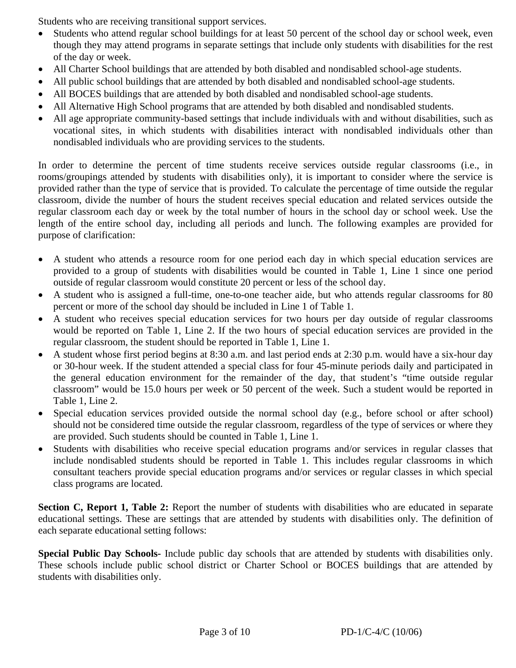Students who are receiving transitional support services.

- Students who attend regular school buildings for at least 50 percent of the school day or school week, even though they may attend programs in separate settings that include only students with disabilities for the rest of the day or week.
- All Charter School buildings that are attended by both disabled and nondisabled school-age students.
- All public school buildings that are attended by both disabled and nondisabled school-age students.
- All BOCES buildings that are attended by both disabled and nondisabled school-age students.
- All Alternative High School programs that are attended by both disabled and nondisabled students.
- All age appropriate community-based settings that include individuals with and without disabilities, such as vocational sites, in which students with disabilities interact with nondisabled individuals other than nondisabled individuals who are providing services to the students.

In order to determine the percent of time students receive services outside regular classrooms (i.e., in rooms/groupings attended by students with disabilities only), it is important to consider where the service is provided rather than the type of service that is provided. To calculate the percentage of time outside the regular classroom, divide the number of hours the student receives special education and related services outside the regular classroom each day or week by the total number of hours in the school day or school week. Use the length of the entire school day, including all periods and lunch. The following examples are provided for purpose of clarification:

- A student who attends a resource room for one period each day in which special education services are provided to a group of students with disabilities would be counted in Table 1, Line 1 since one period outside of regular classroom would constitute 20 percent or less of the school day.
- A student who is assigned a full-time, one-to-one teacher aide, but who attends regular classrooms for 80 percent or more of the school day should be included in Line 1 of Table 1.
- A student who receives special education services for two hours per day outside of regular classrooms would be reported on Table 1, Line 2. If the two hours of special education services are provided in the regular classroom, the student should be reported in Table 1, Line 1.
- A student whose first period begins at 8:30 a.m. and last period ends at 2:30 p.m. would have a six-hour day or 30-hour week. If the student attended a special class for four 45-minute periods daily and participated in the general education environment for the remainder of the day, that student's "time outside regular classroom" would be 15.0 hours per week or 50 percent of the week. Such a student would be reported in Table 1, Line 2.
- Special education services provided outside the normal school day (e.g., before school or after school) should not be considered time outside the regular classroom, regardless of the type of services or where they are provided. Such students should be counted in Table 1, Line 1.
- Students with disabilities who receive special education programs and/or services in regular classes that include nondisabled students should be reported in Table 1. This includes regular classrooms in which consultant teachers provide special education programs and/or services or regular classes in which special class programs are located.

**Section C, Report 1, Table 2:** Report the number of students with disabilities who are educated in separate educational settings. These are settings that are attended by students with disabilities only. The definition of each separate educational setting follows:

**Special Public Day Schools-** Include public day schools that are attended by students with disabilities only. These schools include public school district or Charter School or BOCES buildings that are attended by students with disabilities only.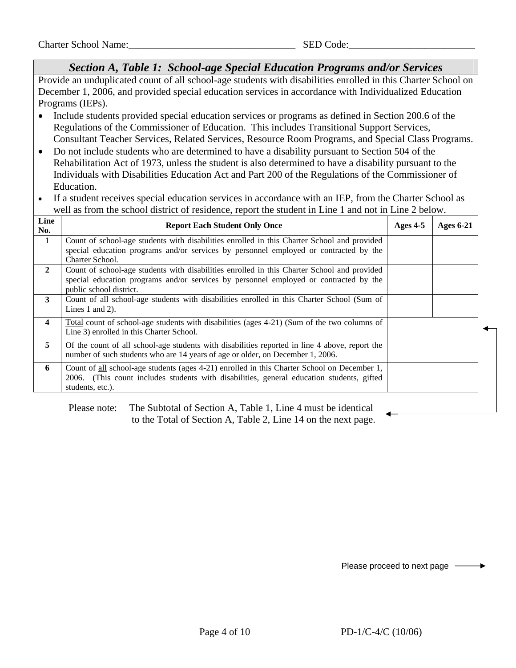*Section A, Table 1: School-age Special Education Programs and/or Services*  Provide an unduplicated count of all school-age students with disabilities enrolled in this Charter School on December 1, 2006, and provided special education services in accordance with Individualized Education Programs (IEPs). • Include students provided special education services or programs as defined in Section 200.6 of the Regulations of the Commissioner of Education. This includes Transitional Support Services, Consultant Teacher Services, Related Services, Resource Room Programs, and Special Class Programs. • Do not include students who are determined to have a disability pursuant to Section 504 of the Rehabilitation Act of 1973, unless the student is also determined to have a disability pursuant to the Individuals with Disabilities Education Act and Part 200 of the Regulations of the Commissioner of Education. If a student receives special education services in accordance with an IEP, from the Charter School as well as from the school district of residence, report the student in Line 1 and not in Line 2 below. **Line Report Each Student Only Once** Ages 4-5 **Ages 6-21 No.** 1 Count of school-age students with disabilities enrolled in this Charter School and provided special education programs and/or services by personnel employed or contracted by the Charter School. **2** Count of school-age students with disabilities enrolled in this Charter School and provided special education programs and/or services by personnel employed or contracted by the public school district. **3** Count of all school-age students with disabilities enrolled in this Charter School (Sum of Lines 1 and 2). **4** Total count of school-age students with disabilities (ages 4-21) (Sum of the two columns of Line 3) enrolled in this Charter School. **5** Of the count of all school-age students with disabilities reported in line 4 above, report the number of such students who are 14 years of age or older, on December 1, 2006. **6** Count of all school-age students (ages 4-21) enrolled in this Charter School on December 1, 2006. (This count includes students with disabilities, general education students, gifted students, etc.).

 Please note: The Subtotal of Section A, Table 1, Line 4 must be identical to the Total of Section A, Table 2, Line 14 on the next page.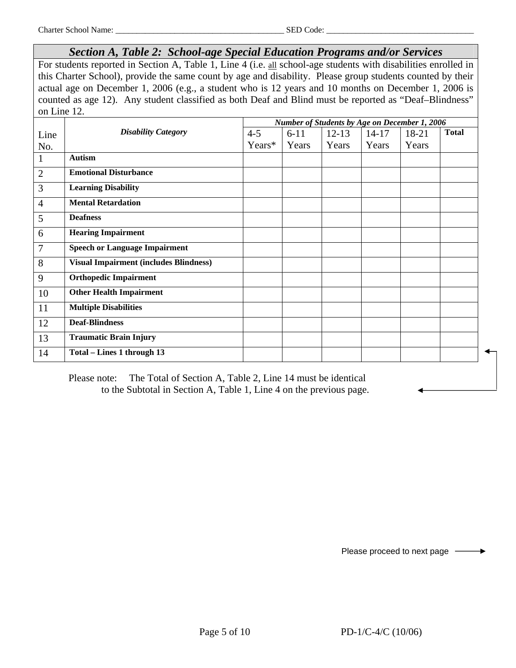*Section A, Table 2: School-age Special Education Programs and/or Services*

For students reported in Section A, Table 1, Line 4 (i.e. all school-age students with disabilities enrolled in this Charter School), provide the same count by age and disability. Please group students counted by their actual age on December 1, 2006 (e.g., a student who is 12 years and 10 months on December 1, 2006 is counted as age 12). Any student classified as both Deaf and Blind must be reported as "Deaf–Blindness" on Line 12.

|                |                                               | Number of Students by Age on December 1, 2006 |          |           |           |       |              |  |
|----------------|-----------------------------------------------|-----------------------------------------------|----------|-----------|-----------|-------|--------------|--|
| Line           | <b>Disability Category</b>                    | $4 - 5$                                       | $6 - 11$ | $12 - 13$ | $14 - 17$ | 18-21 | <b>Total</b> |  |
| No.            |                                               | Years*                                        | Years    | Years     | Years     | Years |              |  |
| 1              | <b>Autism</b>                                 |                                               |          |           |           |       |              |  |
| 2              | <b>Emotional Disturbance</b>                  |                                               |          |           |           |       |              |  |
| 3              | <b>Learning Disability</b>                    |                                               |          |           |           |       |              |  |
| $\overline{4}$ | <b>Mental Retardation</b>                     |                                               |          |           |           |       |              |  |
| 5              | <b>Deafness</b>                               |                                               |          |           |           |       |              |  |
| 6              | <b>Hearing Impairment</b>                     |                                               |          |           |           |       |              |  |
| 7              | <b>Speech or Language Impairment</b>          |                                               |          |           |           |       |              |  |
| 8              | <b>Visual Impairment (includes Blindness)</b> |                                               |          |           |           |       |              |  |
| 9              | <b>Orthopedic Impairment</b>                  |                                               |          |           |           |       |              |  |
| 10             | <b>Other Health Impairment</b>                |                                               |          |           |           |       |              |  |
| 11             | <b>Multiple Disabilities</b>                  |                                               |          |           |           |       |              |  |
| 12             | <b>Deaf-Blindness</b>                         |                                               |          |           |           |       |              |  |
| 13             | <b>Traumatic Brain Injury</b>                 |                                               |          |           |           |       |              |  |
| 14             | Total – Lines 1 through 13                    |                                               |          |           |           |       |              |  |

 Please note: The Total of Section A, Table 2, Line 14 must be identical to the Subtotal in Section A, Table 1, Line 4 on the previous page.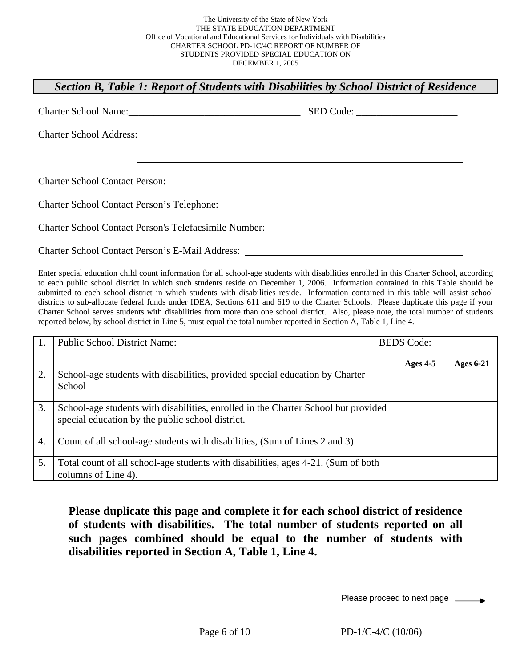## *Section B, Table 1: Report of Students with Disabilities by School District of Residence*

| Charter School Address: No. 1996. The Charter School Address: No. 1997. |  |
|-------------------------------------------------------------------------|--|
|                                                                         |  |
|                                                                         |  |
|                                                                         |  |
|                                                                         |  |
| <b>Charter School Contact Person's E-Mail Address:</b>                  |  |

Enter special education child count information for all school-age students with disabilities enrolled in this Charter School, according to each public school district in which such students reside on December 1, 2006. Information contained in this Table should be submitted to each school district in which students with disabilities reside. Information contained in this table will assist school districts to sub-allocate federal funds under IDEA, Sections 611 and 619 to the Charter Schools. Please duplicate this page if your Charter School serves students with disabilities from more than one school district. Also, please note, the total number of students reported below, by school district in Line 5, must equal the total number reported in Section A, Table 1, Line 4.

|    | <b>Public School District Name:</b>                                                                                                    | <b>BEDS</b> Code: |                  |  |  |
|----|----------------------------------------------------------------------------------------------------------------------------------------|-------------------|------------------|--|--|
|    |                                                                                                                                        | Ages $4-5$        | <b>Ages 6-21</b> |  |  |
| 2. | School-age students with disabilities, provided special education by Charter<br>School                                                 |                   |                  |  |  |
| 3. | School-age students with disabilities, enrolled in the Charter School but provided<br>special education by the public school district. |                   |                  |  |  |
| 4. | Count of all school-age students with disabilities, (Sum of Lines 2 and 3)                                                             |                   |                  |  |  |
| 5. | Total count of all school-age students with disabilities, ages 4-21. (Sum of both<br>columns of Line 4).                               |                   |                  |  |  |

**Please duplicate this page and complete it for each school district of residence of students with disabilities. The total number of students reported on all such pages combined should be equal to the number of students with disabilities reported in Section A, Table 1, Line 4.**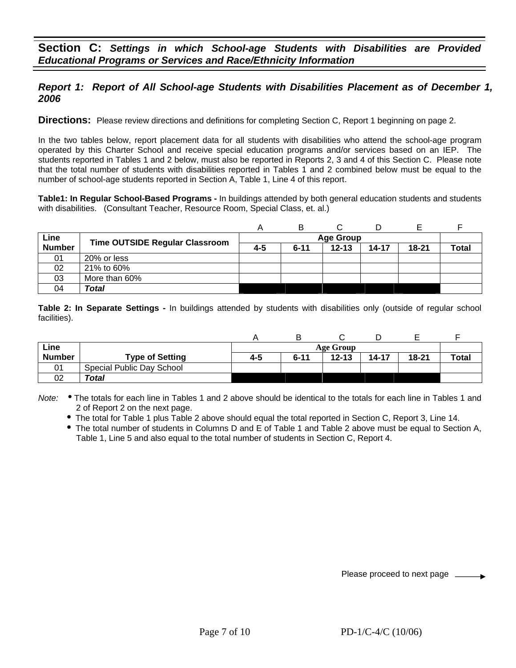## *Report 1: Report of All School-age Students with Disabilities Placement as of December 1, 2006*

**Directions:** Please review directions and definitions for completing Section C, Report 1 beginning on page 2.

In the two tables below, report placement data for all students with disabilities who attend the school-age program operated by this Charter School and receive special education programs and/or services based on an IEP. The students reported in Tables 1 and 2 below, must also be reported in Reports 2, 3 and 4 of this Section C. Please note that the total number of students with disabilities reported in Tables 1 and 2 combined below must be equal to the number of school-age students reported in Section A, Table 1, Line 4 of this report.

**Table1: In Regular School-Based Programs -** In buildings attended by both general education students and students with disabilities.(Consultant Teacher, Resource Room, Special Class, et. al.)

|               |                                       |     | в        |                  |       |       |       |
|---------------|---------------------------------------|-----|----------|------------------|-------|-------|-------|
| Line          | <b>Time OUTSIDE Regular Classroom</b> |     |          | <b>Age Group</b> |       |       |       |
| <b>Number</b> |                                       | 4-5 | $6 - 11$ | $12 - 13$        | 14-17 | 18-21 | Total |
| 01            | 20% or less                           |     |          |                  |       |       |       |
| 02            | 21% to 60%                            |     |          |                  |       |       |       |
| 03            | More than 60%                         |     |          |                  |       |       |       |
| 04            | Total                                 |     |          |                  |       |       |       |

**Table 2: In Separate Settings -** In buildings attended by students with disabilities only (outside of regular school facilities).

| Line          |                           |     | Age Group |           |           |           |              |  |
|---------------|---------------------------|-----|-----------|-----------|-----------|-----------|--------------|--|
| <b>Number</b> | <b>Type of Setting</b>    | 4-5 | $6 - 11$  | $12 - 13$ | $14 - 17$ | $18 - 21$ | <b>Total</b> |  |
| 01            | Special Public Day School |     |           |           |           |           |              |  |
| 02            | Total                     |     |           |           |           |           |              |  |

*Note:* . The totals for each line in Tables 1 and 2 above should be identical to the totals for each line in Tables 1 and 2 of Report 2 on the next page.

• The total for Table 1 plus Table 2 above should equal the total reported in Section C, Report 3, Line 14.

• The total number of students in Columns D and E of Table 1 and Table 2 above must be equal to Section A, Table 1, Line 5 and also equal to the total number of students in Section C, Report 4.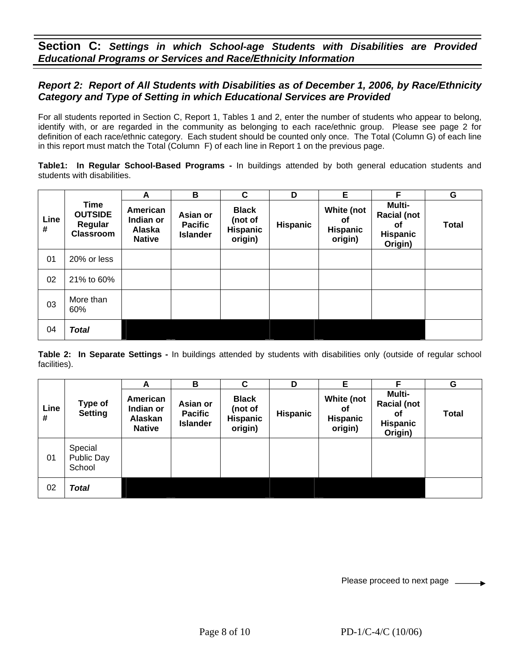**Section C:** *Settings in which School-age Students with Disabilities are Provided Educational Programs or Services and Race/Ethnicity Information*

#### *Report 2: Report of All Students with Disabilities as of December 1, 2006, by Race/Ethnicity Category and Type of Setting in which Educational Services are Provided*

For all students reported in Section C, Report 1, Tables 1 and 2, enter the number of students who appear to belong, identify with, or are regarded in the community as belonging to each race/ethnic group. Please see page 2 for definition of each race/ethnic category. Each student should be counted only once. The Total (Column G) of each line in this report must match the Total (Column F) of each line in Report 1 on the previous page.

**Table1: In Regular School-Based Programs -** In buildings attended by both general education students and students with disabilities.

|           |                                                              | A                                                | B                                             | C                                                     | D        | Е                                              | F                                                                | G            |
|-----------|--------------------------------------------------------------|--------------------------------------------------|-----------------------------------------------|-------------------------------------------------------|----------|------------------------------------------------|------------------------------------------------------------------|--------------|
| Line<br># | <b>Time</b><br><b>OUTSIDE</b><br>Regular<br><b>Classroom</b> | American<br>Indian or<br>Alaska<br><b>Native</b> | Asian or<br><b>Pacific</b><br><b>Islander</b> | <b>Black</b><br>(not of<br><b>Hispanic</b><br>origin) | Hispanic | White (not<br>0f<br><b>Hispanic</b><br>origin) | Multi-<br><b>Racial (not</b><br>οf<br><b>Hispanic</b><br>Origin) | <b>Total</b> |
| 01        | 20% or less                                                  |                                                  |                                               |                                                       |          |                                                |                                                                  |              |
| 02        | 21% to 60%                                                   |                                                  |                                               |                                                       |          |                                                |                                                                  |              |
| 03        | More than<br>60%                                             |                                                  |                                               |                                                       |          |                                                |                                                                  |              |
| 04        | <b>Total</b>                                                 |                                                  |                                               |                                                       |          |                                                |                                                                  |              |

**Table 2: In Separate Settings -** In buildings attended by students with disabilities only (outside of regular school facilities).

|           |                                 | A                                                 | В                                             | C                                                     | D               | Е                                              | F                                                                | G            |
|-----------|---------------------------------|---------------------------------------------------|-----------------------------------------------|-------------------------------------------------------|-----------------|------------------------------------------------|------------------------------------------------------------------|--------------|
| Line<br># | Type of<br><b>Setting</b>       | American<br>Indian or<br>Alaskan<br><b>Native</b> | Asian or<br><b>Pacific</b><br><b>Islander</b> | <b>Black</b><br>(not of<br><b>Hispanic</b><br>origin) | <b>Hispanic</b> | White (not<br>οf<br><b>Hispanic</b><br>origin) | Multi-<br><b>Racial (not</b><br>οf<br><b>Hispanic</b><br>Origin) | <b>Total</b> |
| 01        | Special<br>Public Day<br>School |                                                   |                                               |                                                       |                 |                                                |                                                                  |              |
| 02        | <b>Total</b>                    |                                                   |                                               |                                                       |                 |                                                |                                                                  |              |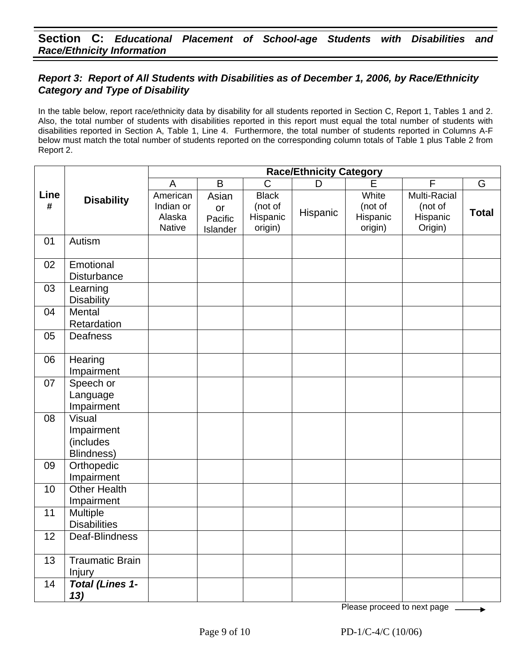## *Report 3: Report of All Students with Disabilities as of December 1, 2006, by Race/Ethnicity Category and Type of Disability*

In the table below, report race/ethnicity data by disability for all students reported in Section C, Report 1, Tables 1 and 2. Also, the total number of students with disabilities reported in this report must equal the total number of students with disabilities reported in Section A, Table 1, Line 4. Furthermore, the total number of students reported in Columns A-F below must match the total number of students reported on the corresponding column totals of Table 1 plus Table 2 from Report 2.

|           |                                                        | <b>Race/Ethnicity Category</b>                   |                                    |                                                |          |                                         |                                                       |              |  |
|-----------|--------------------------------------------------------|--------------------------------------------------|------------------------------------|------------------------------------------------|----------|-----------------------------------------|-------------------------------------------------------|--------------|--|
|           |                                                        | A                                                | $\overline{B}$                     | C                                              | D        | E                                       | F                                                     | G            |  |
| Line<br># | <b>Disability</b>                                      | American<br>Indian or<br>Alaska<br><b>Native</b> | Asian<br>or<br>Pacific<br>Islander | <b>Black</b><br>(not of<br>Hispanic<br>origin) | Hispanic | White<br>(not of<br>Hispanic<br>origin) | <b>Multi-Racial</b><br>(not of<br>Hispanic<br>Origin) | <b>Total</b> |  |
| 01        | Autism                                                 |                                                  |                                    |                                                |          |                                         |                                                       |              |  |
| 02        | Emotional<br>Disturbance                               |                                                  |                                    |                                                |          |                                         |                                                       |              |  |
| 03        | Learning<br><b>Disability</b>                          |                                                  |                                    |                                                |          |                                         |                                                       |              |  |
| 04        | Mental<br>Retardation                                  |                                                  |                                    |                                                |          |                                         |                                                       |              |  |
| 05        | Deafness                                               |                                                  |                                    |                                                |          |                                         |                                                       |              |  |
| 06        | Hearing<br>Impairment                                  |                                                  |                                    |                                                |          |                                         |                                                       |              |  |
| 07        | Speech or<br>Language<br>Impairment                    |                                                  |                                    |                                                |          |                                         |                                                       |              |  |
| 08        | <b>Visual</b><br>Impairment<br>(includes<br>Blindness) |                                                  |                                    |                                                |          |                                         |                                                       |              |  |
| 09        | Orthopedic<br>Impairment                               |                                                  |                                    |                                                |          |                                         |                                                       |              |  |
| 10        | <b>Other Health</b><br>Impairment                      |                                                  |                                    |                                                |          |                                         |                                                       |              |  |
| 11        | Multiple<br><b>Disabilities</b>                        |                                                  |                                    |                                                |          |                                         |                                                       |              |  |
| 12        | Deaf-Blindness                                         |                                                  |                                    |                                                |          |                                         |                                                       |              |  |
| 13        | <b>Traumatic Brain</b><br>Injury                       |                                                  |                                    |                                                |          |                                         |                                                       |              |  |
| 14        | <b>Total (Lines 1-</b><br>13)                          |                                                  |                                    |                                                |          |                                         |                                                       |              |  |